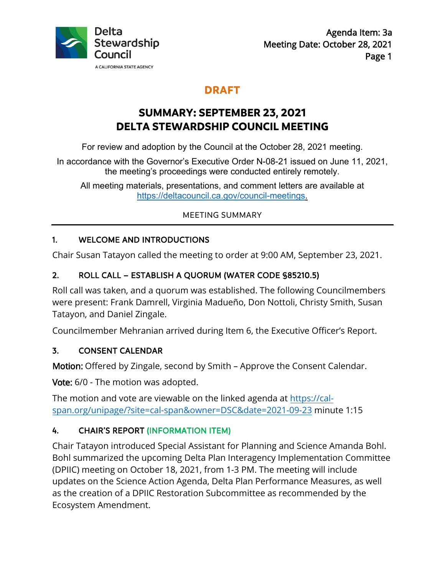

# **DRAFT**

# **SUMMARY: SEPTEMBER 23, 2021 DELTA STEWARDSHIP COUNCIL MEETING**

For review and adoption by the Council at the October 28, 2021 meeting.

In accordance with the Governor's Executive Order N-08-21 issued on June 11, 2021, the meeting's proceedings were conducted entirely remotely.

All meeting materials, presentations, and comment letters are available at [https://deltacouncil.ca.gov/council-meetings.](https://deltacouncil.ca.gov/council-meetings)

### MEETING SUMMARY

# 1. WELCOME AND INTRODUCTIONS

Chair Susan Tatayon called the meeting to order at 9:00 AM, September 23, 2021.

# 2. ROLL CALL – ESTABLISH A QUORUM (WATER CODE §85210.5)

Roll call was taken, and a quorum was established. The following Councilmembers were present: Frank Damrell, Virginia Madueño, Don Nottoli, Christy Smith, Susan Tatayon, and Daniel Zingale.

Councilmember Mehranian arrived during Item 6, the Executive Officer's Report.

## 3. CONSENT CALENDAR

Motion: Offered by Zingale, second by Smith – Approve the Consent Calendar.

Vote: 6/0 - The motion was adopted.

The motion and vote are viewable on the linked agenda at [https://cal](https://cal-span.org/unipage/?site=cal-span&owner=DSC&date=2021-09-23)[span.org/unipage/?site=cal-span&owner=DSC&date=2021-09-23](https://cal-span.org/unipage/?site=cal-span&owner=DSC&date=2021-09-23) minute 1:15

# 4. CHAIR'S REPORT (INFORMATION ITEM)

Chair Tatayon introduced Special Assistant for Planning and Science Amanda Bohl. Bohl summarized the upcoming Delta Plan Interagency Implementation Committee (DPIIC) meeting on October 18, 2021, from 1-3 PM. The meeting will include updates on the Science Action Agenda, Delta Plan Performance Measures, as well as the creation of a DPIIC Restoration Subcommittee as recommended by the Ecosystem Amendment.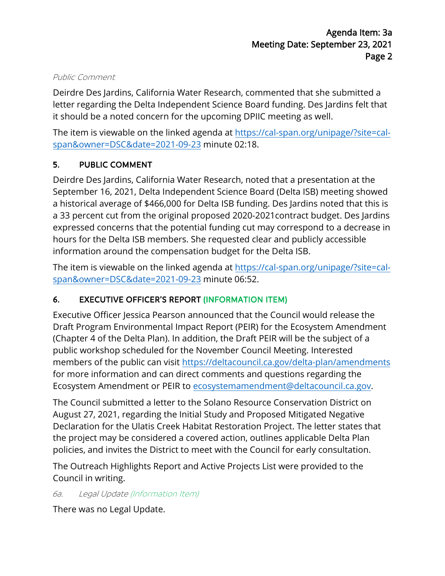#### Public Comment

Deirdre Des Jardins, California Water Research, commented that she submitted a letter regarding the Delta Independent Science Board funding. Des Jardins felt that it should be a noted concern for the upcoming DPIIC meeting as well.

The item is viewable on the linked agenda a[t https://cal-span.org/unipage/?site=cal](https://cal-span.org/unipage/?site=cal-span&owner=DSC&date=2021-09-23)[span&owner=DSC&date=2021-09-23](https://cal-span.org/unipage/?site=cal-span&owner=DSC&date=2021-09-23) minute 02:18.

## 5. PUBLIC COMMENT

Deirdre Des Jardins, California Water Research, noted that a presentation at the September 16, 2021, Delta Independent Science Board (Delta ISB) meeting showed a historical average of \$466,000 for Delta ISB funding. Des Jardins noted that this is a 33 percent cut from the original proposed 2020-2021contract budget. Des Jardins expressed concerns that the potential funding cut may correspond to a decrease in hours for the Delta ISB members. She requested clear and publicly accessible information around the compensation budget for the Delta ISB.

The item is viewable on the linked agenda a[t https://cal-span.org/unipage/?site=cal](https://cal-span.org/unipage/?site=cal-span&owner=DSC&date=2021-09-23)[span&owner=DSC&date=2021-09-23](https://cal-span.org/unipage/?site=cal-span&owner=DSC&date=2021-09-23) minute 06:52.

## 6. EXECUTIVE OFFICER'S REPORT (INFORMATION ITEM)

Executive Officer Jessica Pearson announced that the Council would release the Draft Program Environmental Impact Report (PEIR) for the Ecosystem Amendment (Chapter 4 of the Delta Plan). In addition, the Draft PEIR will be the subject of a public workshop scheduled for the November Council Meeting. Interested members of the public can visit <https://deltacouncil.ca.gov/delta-plan/amendments> for more information and can direct comments and questions regarding the Ecosystem Amendment or PEIR to [ecosystemamendment@deltacouncil.ca.gov.](mailto:ecosystemamendment@deltacouncil.ca.gov)

The Council submitted a letter to the Solano Resource Conservation District on August 27, 2021, regarding the Initial Study and Proposed Mitigated Negative Declaration for the Ulatis Creek Habitat Restoration Project. The letter states that the project may be considered a covered action, outlines applicable Delta Plan policies, and invites the District to meet with the Council for early consultation.

The Outreach Highlights Report and Active Projects List were provided to the Council in writing.

6a. Legal Update (Information Item)

There was no Legal Update.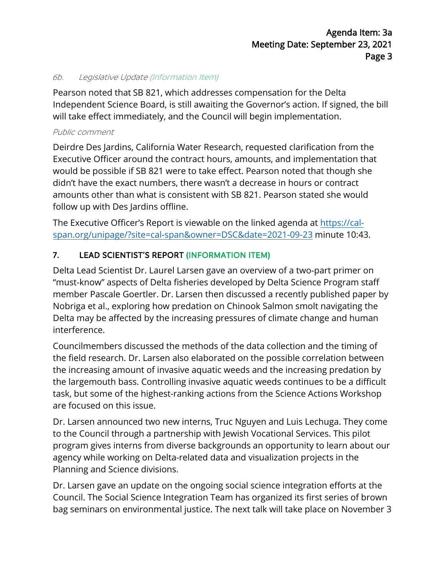#### 6b. Legislative Update (Information Item)

Pearson noted that SB 821, which addresses compensation for the Delta Independent Science Board, is still awaiting the Governor's action. If signed, the bill will take effect immediately, and the Council will begin implementation.

#### Public comment

Deirdre Des Jardins, California Water Research, requested clarification from the Executive Officer around the contract hours, amounts, and implementation that would be possible if SB 821 were to take effect. Pearson noted that though she didn't have the exact numbers, there wasn't a decrease in hours or contract amounts other than what is consistent with SB 821. Pearson stated she would follow up with Des Jardins offline.

The Executive Officer's Report is viewable on the linked agenda at [https://cal](https://cal-span.org/unipage/?site=cal-span&owner=DSC&date=2021-09-23)[span.org/unipage/?site=cal-span&owner=DSC&date=2021-09-23](https://cal-span.org/unipage/?site=cal-span&owner=DSC&date=2021-09-23) minute 10:43.

## 7. LEAD SCIENTIST'S REPORT (INFORMATION ITEM)

Delta Lead Scientist Dr. Laurel Larsen gave an overview of a two-part primer on "must-know" aspects of Delta fisheries developed by Delta Science Program staff member Pascale Goertler. Dr. Larsen then discussed a recently published paper by Nobriga et al., exploring how predation on Chinook Salmon smolt navigating the Delta may be affected by the increasing pressures of climate change and human interference.

Councilmembers discussed the methods of the data collection and the timing of the field research. Dr. Larsen also elaborated on the possible correlation between the increasing amount of invasive aquatic weeds and the increasing predation by the largemouth bass. Controlling invasive aquatic weeds continues to be a difficult task, but some of the highest-ranking actions from the Science Actions Workshop are focused on this issue.

Dr. Larsen announced two new interns, Truc Nguyen and Luis Lechuga. They come to the Council through a partnership with Jewish Vocational Services. This pilot program gives interns from diverse backgrounds an opportunity to learn about our agency while working on Delta-related data and visualization projects in the Planning and Science divisions.

Dr. Larsen gave an update on the ongoing social science integration efforts at the Council. The Social Science Integration Team has organized its first series of brown bag seminars on environmental justice. The next talk will take place on November 3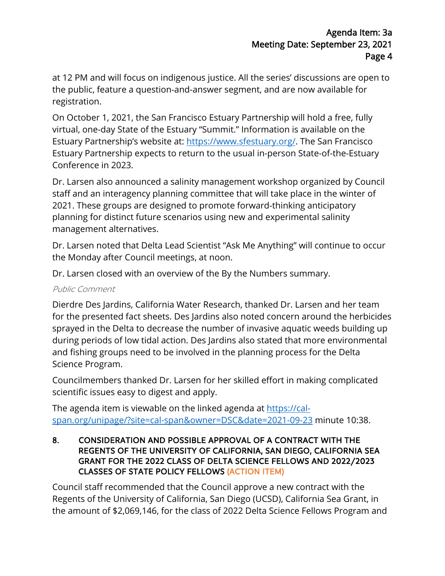at 12 PM and will focus on indigenous justice. All the series' discussions are open to the public, feature a question-and-answer segment, and are now available for registration.

On October 1, 2021, the San Francisco Estuary Partnership will hold a free, fully virtual, one-day State of the Estuary "Summit." Information is available on the Estuary Partnership's website at: [https://www.sfestuary.org/.](https://www.sfestuary.org/) The San Francisco Estuary Partnership expects to return to the usual in-person State-of-the-Estuary Conference in 2023.

Dr. Larsen also announced a salinity management workshop organized by Council staff and an interagency planning committee that will take place in the winter of 2021. These groups are designed to promote forward-thinking anticipatory planning for distinct future scenarios using new and experimental salinity management alternatives.

Dr. Larsen noted that Delta Lead Scientist "Ask Me Anything" will continue to occur the Monday after Council meetings, at noon.

Dr. Larsen closed with an overview of the By the Numbers summary.

#### Public Comment

Dierdre Des Jardins, California Water Research, thanked Dr. Larsen and her team for the presented fact sheets. Des Jardins also noted concern around the herbicides sprayed in the Delta to decrease the number of invasive aquatic weeds building up during periods of low tidal action. Des Jardins also stated that more environmental and fishing groups need to be involved in the planning process for the Delta Science Program.

Councilmembers thanked Dr. Larsen for her skilled effort in making complicated scientific issues easy to digest and apply.

The agenda item is viewable on the linked agenda at [https://cal](https://cal-span.org/unipage/?site=cal-span&owner=DSC&date=2021-09-23)[span.org/unipage/?site=cal-span&owner=DSC&date=2021-09-23](https://cal-span.org/unipage/?site=cal-span&owner=DSC&date=2021-09-23) minute 10:38.

#### 8. CONSIDERATION AND POSSIBLE APPROVAL OF A CONTRACT WITH THE REGENTS OF THE UNIVERSITY OF CALIFORNIA, SAN DIEGO, CALIFORNIA SEA GRANT FOR THE 2022 CLASS OF DELTA SCIENCE FELLOWS AND 2022/2023 CLASSES OF STATE POLICY FELLOWS (ACTION ITEM)

Council staff recommended that the Council approve a new contract with the Regents of the University of California, San Diego (UCSD), California Sea Grant, in the amount of \$2,069,146, for the class of 2022 Delta Science Fellows Program and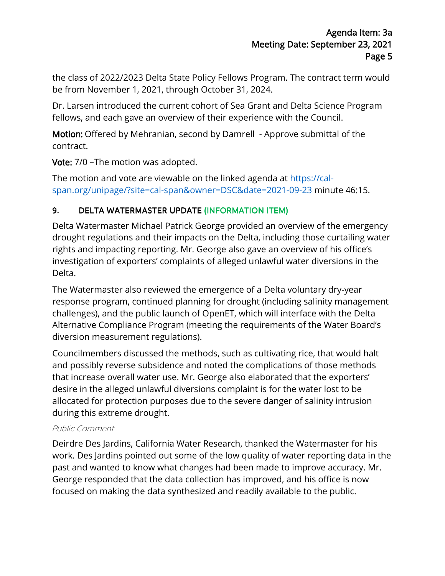the class of 2022/2023 Delta State Policy Fellows Program. The contract term would be from November 1, 2021, through October 31, 2024.

Dr. Larsen introduced the current cohort of Sea Grant and Delta Science Program fellows, and each gave an overview of their experience with the Council.

Motion: Offered by Mehranian, second by Damrell - Approve submittal of the contract.

Vote: 7/0 - The motion was adopted.

The motion and vote are viewable on the linked agenda at [https://cal](https://cal-span.org/unipage/?site=cal-span&owner=DSC&date=2021-09-23)[span.org/unipage/?site=cal-span&owner=DSC&date=2021-09-23](https://cal-span.org/unipage/?site=cal-span&owner=DSC&date=2021-09-23) minute 46:15.

# 9. DELTA WATERMASTER UPDATE (INFORMATION ITEM)

Delta Watermaster Michael Patrick George provided an overview of the emergency drought regulations and their impacts on the Delta, including those curtailing water rights and impacting reporting. Mr. George also gave an overview of his office's investigation of exporters' complaints of alleged unlawful water diversions in the Delta.

The Watermaster also reviewed the emergence of a Delta voluntary dry-year response program, continued planning for drought (including salinity management challenges), and the public launch of OpenET, which will interface with the Delta Alternative Compliance Program (meeting the requirements of the Water Board's diversion measurement regulations).

Councilmembers discussed the methods, such as cultivating rice, that would halt and possibly reverse subsidence and noted the complications of those methods that increase overall water use. Mr. George also elaborated that the exporters' desire in the alleged unlawful diversions complaint is for the water lost to be allocated for protection purposes due to the severe danger of salinity intrusion during this extreme drought.

#### Public Comment

Deirdre Des Jardins, California Water Research, thanked the Watermaster for his work. Des Jardins pointed out some of the low quality of water reporting data in the past and wanted to know what changes had been made to improve accuracy. Mr. George responded that the data collection has improved, and his office is now focused on making the data synthesized and readily available to the public.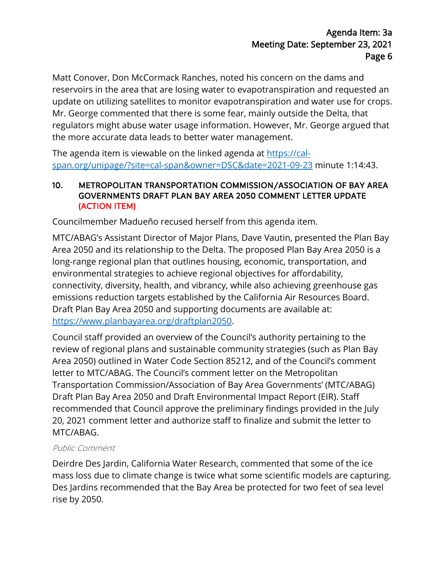Matt Conover, Don McCormack Ranches, noted his concern on the dams and reservoirs in the area that are losing water to evapotranspiration and requested an update on utilizing satellites to monitor evapotranspiration and water use for crops. Mr. George commented that there is some fear, mainly outside the Delta, that regulators might abuse water usage information. However, Mr. George argued that the more accurate data leads to better water management.

The agenda item is viewable on the linked agenda at [https://cal](https://cal-span.org/unipage/?site=cal-span&owner=DSC&date=2021-09-23)[span.org/unipage/?site=cal-span&owner=DSC&date=2021-09-23](https://cal-span.org/unipage/?site=cal-span&owner=DSC&date=2021-09-23) minute 1:14:43.

#### 10. METROPOLITAN TRANSPORTATION COMMISSION/ASSOCIATION OF BAY AREA GOVERNMENTS DRAFT PLAN BAY AREA 2050 COMMENT LETTER UPDATE (ACTION ITEM)

Councilmember Madueño recused herself from this agenda item.

MTC/ABAG's Assistant Director of Major Plans, Dave Vautin, presented the Plan Bay Area 2050 and its relationship to the Delta. The proposed Plan Bay Area 2050 is a long-range regional plan that outlines housing, economic, transportation, and environmental strategies to achieve regional objectives for affordability, connectivity, diversity, health, and vibrancy, while also achieving greenhouse gas emissions reduction targets established by the California Air Resources Board. Draft Plan Bay Area 2050 and supporting documents are available at: [https://www.planbayarea.org/draftplan2050.](https://www.planbayarea.org/draftplan2050)

Council staff provided an overview of the Council's authority pertaining to the review of regional plans and sustainable community strategies (such as Plan Bay Area 2050) outlined in Water Code Section 85212, and of the Council's comment letter to MTC/ABAG. The Council's comment letter on the Metropolitan Transportation Commission/Association of Bay Area Governments' (MTC/ABAG) Draft Plan Bay Area 2050 and Draft Environmental Impact Report (EIR). Staff recommended that Council approve the preliminary findings provided in the July 20, 2021 comment letter and authorize staff to finalize and submit the letter to MTC/ABAG.

## Public Comment

Deirdre Des Jardin, California Water Research, commented that some of the ice mass loss due to climate change is twice what some scientific models are capturing. Des Jardins recommended that the Bay Area be protected for two feet of sea level rise by 2050.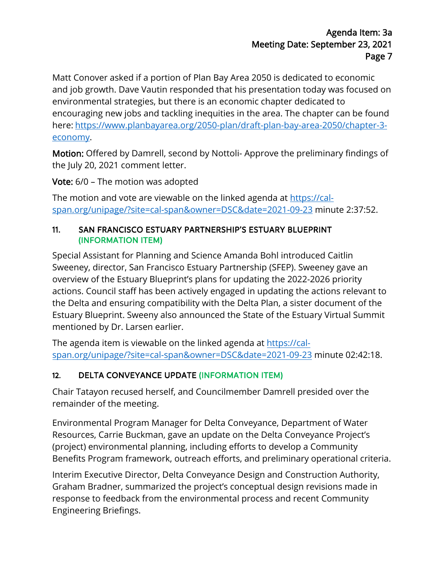Matt Conover asked if a portion of Plan Bay Area 2050 is dedicated to economic and job growth. Dave Vautin responded that his presentation today was focused on environmental strategies, but there is an economic chapter dedicated to encouraging new jobs and tackling inequities in the area. The chapter can be found here: [https://www.planbayarea.org/2050-plan/draft-plan-bay-area-2050/chapter-3](https://www.planbayarea.org/2050-plan/draft-plan-bay-area-2050/chapter-3-economy) [economy.](https://www.planbayarea.org/2050-plan/draft-plan-bay-area-2050/chapter-3-economy)

Motion: Offered by Damrell, second by Nottoli- Approve the preliminary findings of the July 20, 2021 comment letter.

Vote: 6/0 – The motion was adopted

The motion and vote are viewable on the linked agenda at [https://cal](https://cal-span.org/unipage/?site=cal-span&owner=DSC&date=2021-09-23)[span.org/unipage/?site=cal-span&owner=DSC&date=2021-09-23](https://cal-span.org/unipage/?site=cal-span&owner=DSC&date=2021-09-23) minute 2:37:52.

## 11. SAN FRANCISCO ESTUARY PARTNERSHIP'S ESTUARY BLUEPRINT (INFORMATION ITEM)

Special Assistant for Planning and Science Amanda Bohl introduced Caitlin Sweeney, director, San Francisco Estuary Partnership (SFEP). Sweeney gave an overview of the Estuary Blueprint's plans for updating the 2022-2026 priority actions. Council staff has been actively engaged in updating the actions relevant to the Delta and ensuring compatibility with the Delta Plan, a sister document of the Estuary Blueprint. Sweeny also announced the State of the Estuary Virtual Summit mentioned by Dr. Larsen earlier.

The agenda item is viewable on the linked agenda at [https://cal](https://cal-span.org/unipage/?site=cal-span&owner=DSC&date=2021-09-23)[span.org/unipage/?site=cal-span&owner=DSC&date=2021-09-23](https://cal-span.org/unipage/?site=cal-span&owner=DSC&date=2021-09-23) minute 02:42:18.

# 12. DELTA CONVEYANCE UPDATE (INFORMATION ITEM)

Chair Tatayon recused herself, and Councilmember Damrell presided over the remainder of the meeting.

Environmental Program Manager for Delta Conveyance, Department of Water Resources, Carrie Buckman, gave an update on the Delta Conveyance Project's (project) environmental planning, including efforts to develop a Community Benefits Program framework, outreach efforts, and preliminary operational criteria.

Interim Executive Director, Delta Conveyance Design and Construction Authority, Graham Bradner, summarized the project's conceptual design revisions made in response to feedback from the environmental process and recent Community Engineering Briefings.